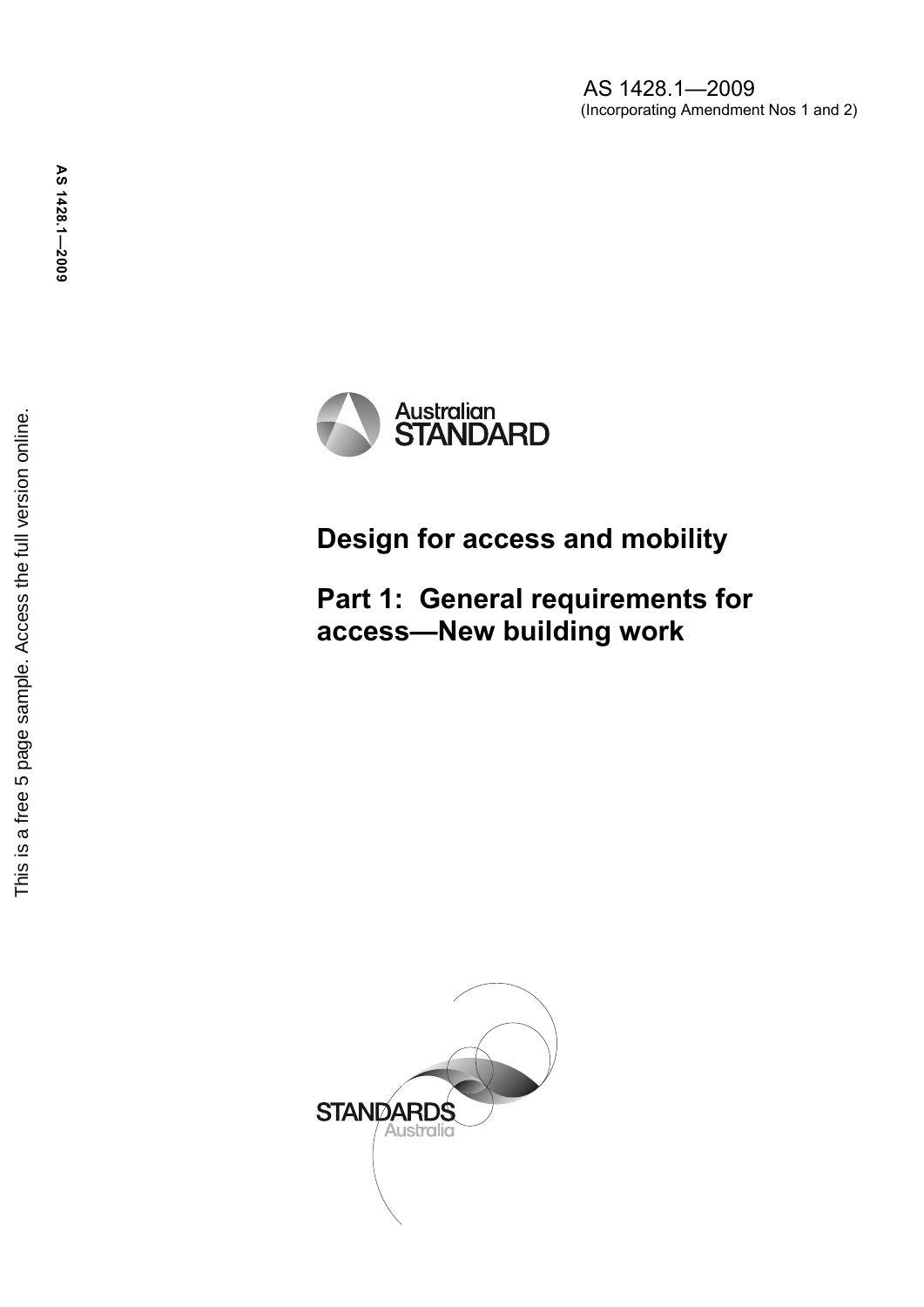AS 1428.1—2009 (Incorporating Amendment Nos 1 and 2)



**Design for access and mobility** 

**Part 1: General requirements for access—New building work** 

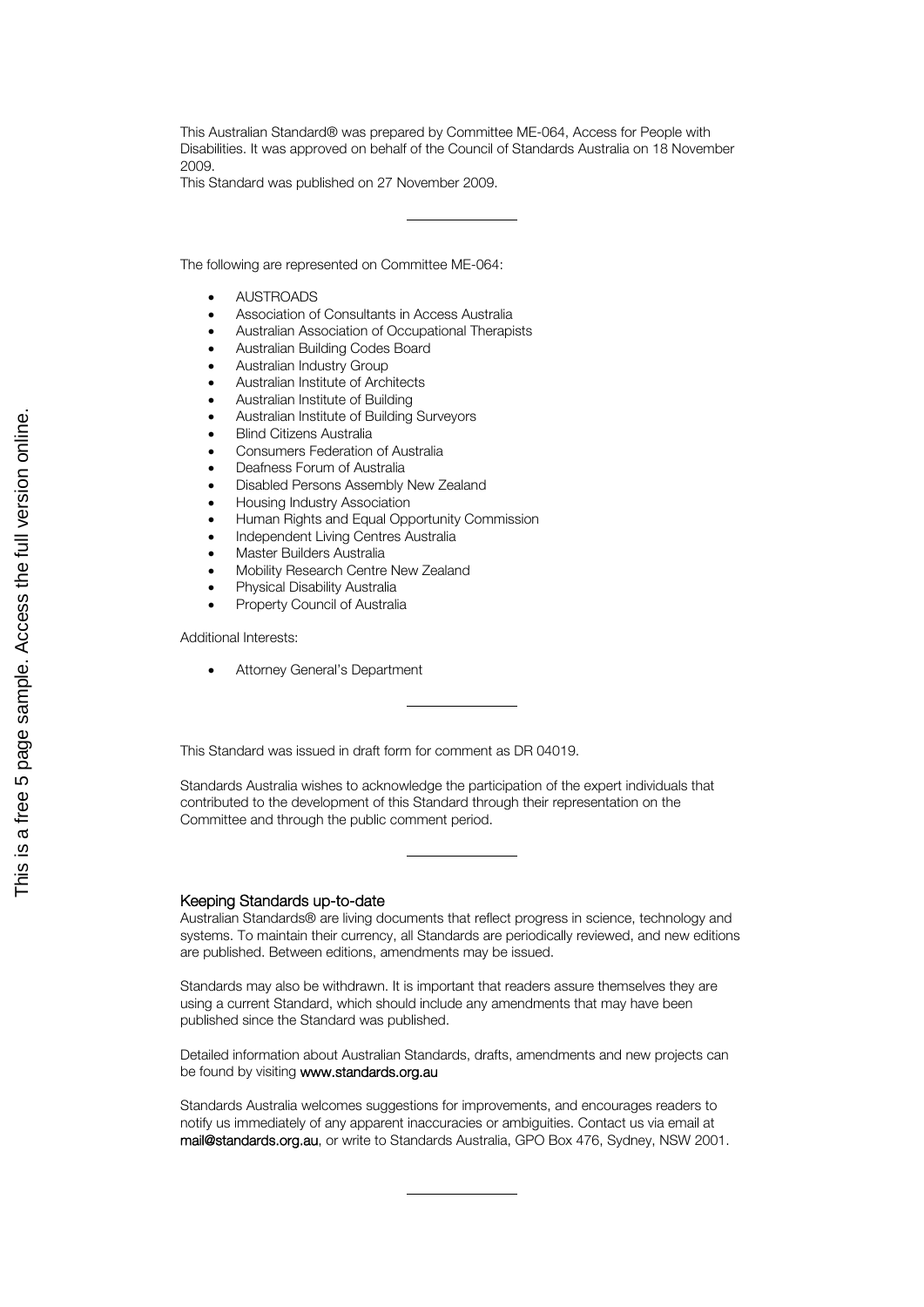This Australian Standard® was prepared by Committee ME-064, Access for People with Disabilities. It was approved on behalf of the Council of Standards Australia on 18 November 2009.

This Standard was published on 27 November 2009.

The following are represented on Committee ME-064:

- AUSTROADS
- Association of Consultants in Access Australia
- Australian Association of Occupational Therapists
- Australian Building Codes Board
- Australian Industry Group
- Australian Institute of Architects
- Australian Institute of Building
- Australian Institute of Building Surveyors
- Blind Citizens Australia
- Consumers Federation of Australia
- Deafness Forum of Australia
- Disabled Persons Assembly New Zealand
- Housing Industry Association
- Human Rights and Equal Opportunity Commission
- Independent Living Centres Australia
- Master Builders Australia
- Mobility Research Centre New Zealand
- Physical Disability Australia
- Property Council of Australia

Additional Interests:

Attorney General's Department

This Standard was issued in draft form for comment as DR 04019.

Standards Australia wishes to acknowledge the participation of the expert individuals that contributed to the development of this Standard through their representation on the Committee and through the public comment period.

#### Keeping Standards up-to-date

Australian Standards® are living documents that reflect progress in science, technology and systems. To maintain their currency, all Standards are periodically reviewed, and new editions are published. Between editions, amendments may be issued.

Standards may also be withdrawn. It is important that readers assure themselves they are using a current Standard, which should include any amendments that may have been published since the Standard was published.

Detailed information about Australian Standards, drafts, amendments and new projects can be found by visiting www.standards.org.au

Standards Australia welcomes suggestions for improvements, and encourages readers to notify us immediately of any apparent inaccuracies or ambiguities. Contact us via email at mail@standards.org.au, or write to Standards Australia, GPO Box 476, Sydney, NSW 2001.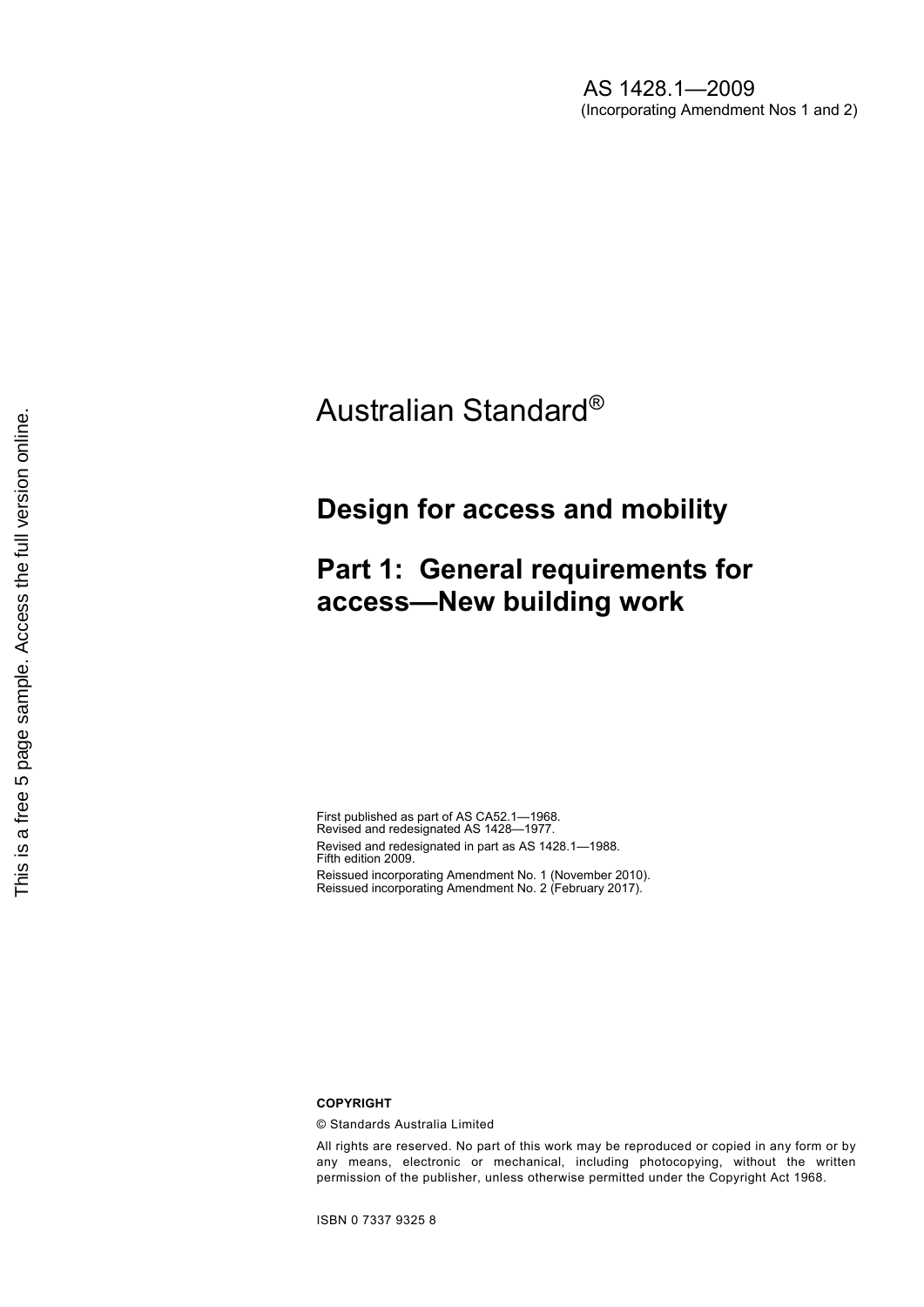AS 1428.1—2009 (Incorporating Amendment Nos 1 and 2)

Australian Standard®

# **Design for access and mobility**

# **Part 1: General requirements for access—New building work**

First published as part of AS CA52.1—1968. Revised and redesignated AS 1428—1977. Revised and redesignated in part as AS 1428.1—1988. Fifth edition 2009. Reissued incorporating Amendment No. 1 (November 2010). Reissued incorporating Amendment No. 2 (February 2017).

#### **COPYRIGHT**

© Standards Australia Limited

All rights are reserved. No part of this work may be reproduced or copied in any form or by any means, electronic or mechanical, including photocopying, without the written permission of the publisher, unless otherwise permitted under the Copyright Act 1968.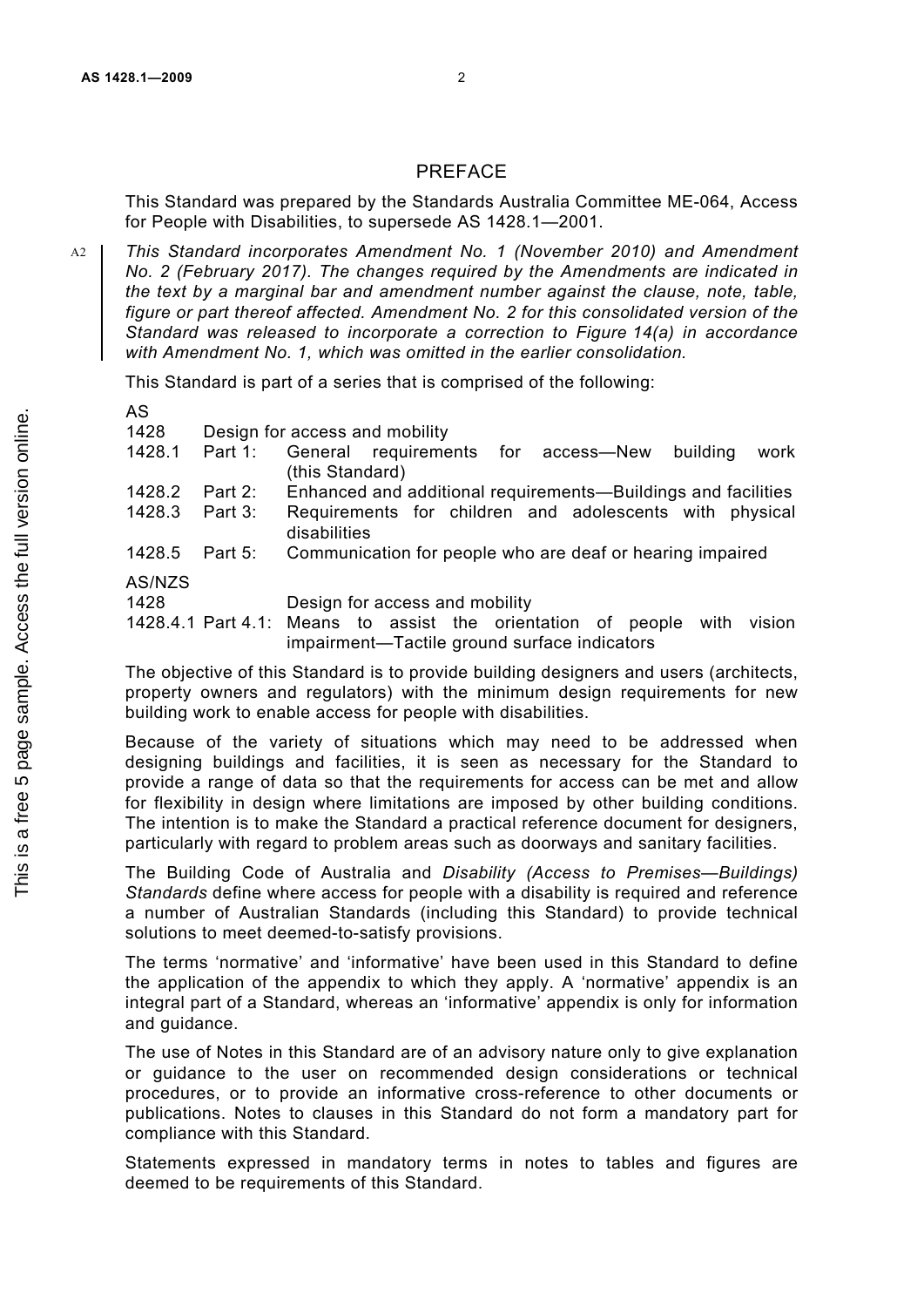AS

### PREFACE

This Standard was prepared by the Standards Australia Committee ME-064, Access for People with Disabilities, to supersede AS 1428.1—2001.

 $A2$ 

*This Standard incorporates Amendment No. 1 (November 2010) and Amendment No. 2 (February 2017). The changes required by the Amendments are indicated in the text by a marginal bar and amendment number against the clause, note, table, figure or part thereof affected. Amendment No. 2 for this consolidated version of the Standard was released to incorporate a correction to Figure 14(a) in accordance with Amendment No. 1, which was omitted in the earlier consolidation.* 

This Standard is part of a series that is comprised of the following:

1428 Design for access and mobility

| 1428.1 | Part 1: | General requirements for access-New<br>building<br>work                                                                     |
|--------|---------|-----------------------------------------------------------------------------------------------------------------------------|
|        |         | (this Standard)                                                                                                             |
| 1428.2 | Part 2: | Enhanced and additional requirements-Buildings and facilities                                                               |
| 1428.3 | Part 3: | Requirements for children and adolescents with physical<br>disabilities                                                     |
| 1428.5 | Part 5: | Communication for people who are deaf or hearing impaired                                                                   |
| AS/NZS |         |                                                                                                                             |
| 1428   |         | Design for access and mobility                                                                                              |
|        |         | 1428.4.1 Part 4.1: Means to assist the orientation of people with<br>vision<br>impairment—Tactile ground surface indicators |

The objective of this Standard is to provide building designers and users (architects, property owners and regulators) with the minimum design requirements for new building work to enable access for people with disabilities.

Because of the variety of situations which may need to be addressed when designing buildings and facilities, it is seen as necessary for the Standard to provide a range of data so that the requirements for access can be met and allow for flexibility in design where limitations are imposed by other building conditions. The intention is to make the Standard a practical reference document for designers, particularly with regard to problem areas such as doorways and sanitary facilities.

The Building Code of Australia and *Disability (Access to Premises—Buildings) Standards* define where access for people with a disability is required and reference a number of Australian Standards (including this Standard) to provide technical solutions to meet deemed-to-satisfy provisions.

The terms 'normative' and 'informative' have been used in this Standard to define the application of the appendix to which they apply. A 'normative' appendix is an integral part of a Standard, whereas an 'informative' appendix is only for information and guidance.

The use of Notes in this Standard are of an advisory nature only to give explanation or guidance to the user on recommended design considerations or technical procedures, or to provide an informative cross-reference to other documents or publications. Notes to clauses in this Standard do not form a mandatory part for compliance with this Standard.

Statements expressed in mandatory terms in notes to tables and figures are deemed to be requirements of this Standard.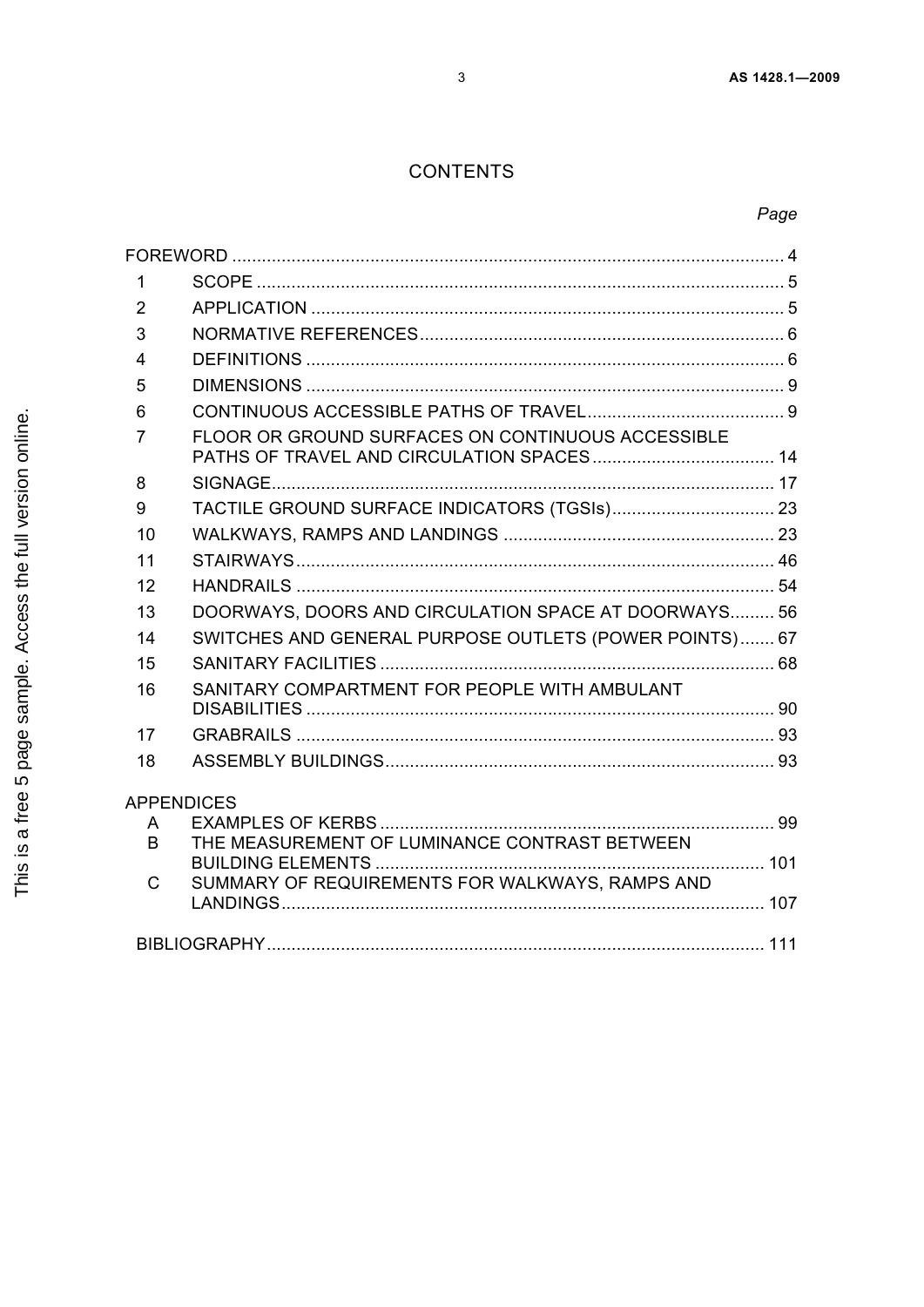## CONTENTS

### Page

| 1                 |                                                        |  |
|-------------------|--------------------------------------------------------|--|
| $\overline{2}$    |                                                        |  |
| 3                 |                                                        |  |
| $\overline{4}$    |                                                        |  |
| 5                 |                                                        |  |
| 6                 |                                                        |  |
| $\overline{7}$    | FLOOR OR GROUND SURFACES ON CONTINUOUS ACCESSIBLE      |  |
| 8                 |                                                        |  |
| 9                 |                                                        |  |
| 10                |                                                        |  |
| 11                |                                                        |  |
| 12                |                                                        |  |
| 13                | DOORWAYS, DOORS AND CIRCULATION SPACE AT DOORWAYS 56   |  |
| 14                | SWITCHES AND GENERAL PURPOSE OUTLETS (POWER POINTS) 67 |  |
| 15                |                                                        |  |
| 16                | SANITARY COMPARTMENT FOR PEOPLE WITH AMBULANT          |  |
| 17                |                                                        |  |
| 18                |                                                        |  |
| <b>APPENDICES</b> |                                                        |  |
| A                 |                                                        |  |
| B                 | THE MEASUREMENT OF LUMINANCE CONTRAST BETWEEN          |  |
| C                 | SUMMARY OF REQUIREMENTS FOR WALKWAYS, RAMPS AND        |  |
|                   |                                                        |  |
|                   |                                                        |  |